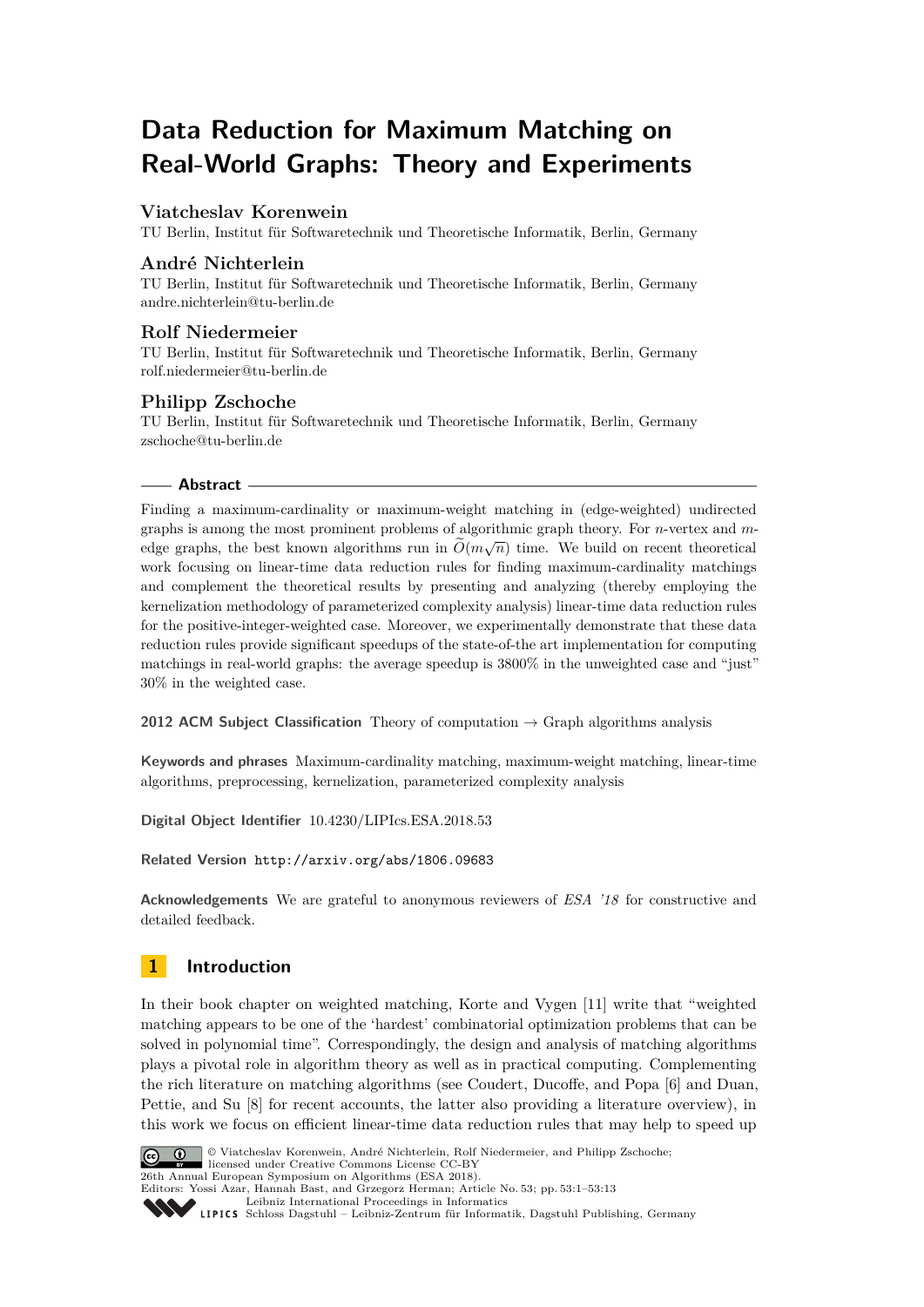# **Data Reduction for Maximum Matching on Real-World Graphs: Theory and Experiments**

# **Viatcheslav Korenwein**

TU Berlin, Institut für Softwaretechnik und Theoretische Informatik, Berlin, Germany

# **André Nichterlein**

TU Berlin, Institut für Softwaretechnik und Theoretische Informatik, Berlin, Germany [andre.nichterlein@tu-berlin.de](mailto:andre.nichterlein@tu-berlin.de)

## **Rolf Niedermeier**

TU Berlin, Institut für Softwaretechnik und Theoretische Informatik, Berlin, Germany [rolf.niedermeier@tu-berlin.de](mailto:rolf.niedermeier@tu-berlin.de)

# **Philipp Zschoche**

TU Berlin, Institut für Softwaretechnik und Theoretische Informatik, Berlin, Germany [zschoche@tu-berlin.de](mailto:zschoche@tu-berlin.de)

## **Abstract**

Finding a maximum-cardinality or maximum-weight matching in (edge-weighted) undirected graphs is among the most prominent problems of algorithmic graph theory. For *n*-vertex and *m*edge graphs, the best known algorithms run in  $O(m\sqrt{n})$  time. We build on recent theoretical work focusing on linear-time data reduction rules for finding maximum-cardinality matchings and complement the theoretical results by presenting and analyzing (thereby employing the kernelization methodology of parameterized complexity analysis) linear-time data reduction rules for the positive-integer-weighted case. Moreover, we experimentally demonstrate that these data reduction rules provide significant speedups of the state-of-the art implementation for computing matchings in real-world graphs: the average speedup is 3800% in the unweighted case and "just" 30% in the weighted case.

**2012 ACM Subject Classification** Theory of computation → Graph algorithms analysis

**Keywords and phrases** Maximum-cardinality matching, maximum-weight matching, linear-time algorithms, preprocessing, kernelization, parameterized complexity analysis

**Digital Object Identifier** [10.4230/LIPIcs.ESA.2018.53](http://dx.doi.org/10.4230/LIPIcs.ESA.2018.53)

## **Related Version** <http://arxiv.org/abs/1806.09683>

**Acknowledgements** We are grateful to anonymous reviewers of *ESA '18* for constructive and detailed feedback.

# **1 Introduction**

In their book chapter on weighted matching, Korte and Vygen [\[11\]](#page-12-0) write that "weighted matching appears to be one of the 'hardest' combinatorial optimization problems that can be solved in polynomial time". Correspondingly, the design and analysis of matching algorithms plays a pivotal role in algorithm theory as well as in practical computing. Complementing the rich literature on matching algorithms (see Coudert, Ducoffe, and Popa [\[6\]](#page-12-1) and Duan, Pettie, and Su [\[8\]](#page-12-2) for recent accounts, the latter also providing a literature overview), in this work we focus on efficient linear-time data reduction rules that may help to speed up



© Viatcheslav Korenwein, André Nichterlein, Rolf Niedermeier, and Philipp Zschoche; licensed under Creative Commons License CC-BY 26th Annual European Symposium on Algorithms (ESA 2018). Editors: Yossi Azar, Hannah Bast, and Grzegorz Herman; Article No. 53; pp. 53:1–53[:13](#page-12-3) [Leibniz International Proceedings in Informatics](http://www.dagstuhl.de/lipics/)

[Schloss Dagstuhl – Leibniz-Zentrum für Informatik, Dagstuhl Publishing, Germany](http://www.dagstuhl.de)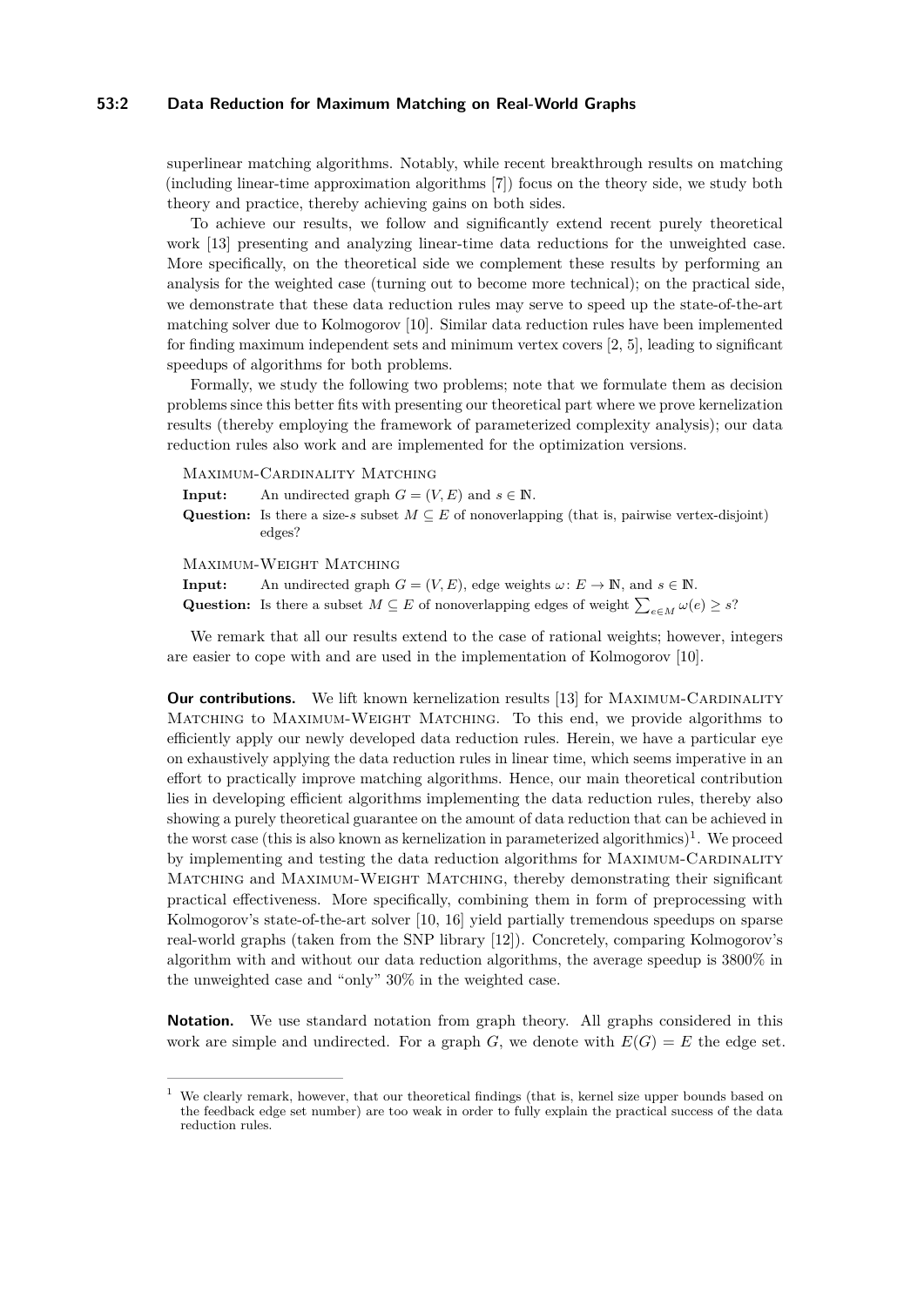#### **53:2 Data Reduction for Maximum Matching on Real-World Graphs**

superlinear matching algorithms. Notably, while recent breakthrough results on matching (including linear-time approximation algorithms [\[7\]](#page-12-4)) focus on the theory side, we study both theory and practice, thereby achieving gains on both sides.

To achieve our results, we follow and significantly extend recent purely theoretical work [\[13\]](#page-12-5) presenting and analyzing linear-time data reductions for the unweighted case. More specifically, on the theoretical side we complement these results by performing an analysis for the weighted case (turning out to become more technical); on the practical side, we demonstrate that these data reduction rules may serve to speed up the state-of-the-art matching solver due to Kolmogorov [\[10\]](#page-12-6). Similar data reduction rules have been implemented for finding maximum independent sets and minimum vertex covers [\[2,](#page-12-7) [5\]](#page-12-8), leading to significant speedups of algorithms for both problems.

Formally, we study the following two problems; note that we formulate them as decision problems since this better fits with presenting our theoretical part where we prove kernelization results (thereby employing the framework of parameterized complexity analysis); our data reduction rules also work and are implemented for the optimization versions.

Maximum-Cardinality Matching

**Input:** An undirected graph  $G = (V, E)$  and  $s \in \mathbb{N}$ . **Question:** Is there a size-*s* subset  $M \subseteq E$  of nonoverlapping (that is, pairwise vertex-disjoint) edges?

Maximum-Weight Matching

**Input:** An undirected graph  $G = (V, E)$ , edge weights  $\omega: E \to \mathbb{N}$ , and  $s \in \mathbb{N}$ . Question: Is there a subset  $M \subseteq E$  of nonoverlapping edges of weight  $\sum_{e \in M} \omega(e) \geq s$ ?

We remark that all our results extend to the case of rational weights; however, integers are easier to cope with and are used in the implementation of Kolmogorov [\[10\]](#page-12-6).

**Our contributions.** We lift known kernelization results [\[13\]](#page-12-5) for MAXIMUM-CARDINALITY Matching to Maximum-Weight Matching. To this end, we provide algorithms to efficiently apply our newly developed data reduction rules. Herein, we have a particular eye on exhaustively applying the data reduction rules in linear time, which seems imperative in an effort to practically improve matching algorithms. Hence, our main theoretical contribution lies in developing efficient algorithms implementing the data reduction rules, thereby also showing a purely theoretical guarantee on the amount of data reduction that can be achieved in the worst case (this is also known as kernelization in parameterized algorithmics)<sup>[1](#page-1-0)</sup>. We proceed by implementing and testing the data reduction algorithms for MAXIMUM-CARDINALITY Matching and Maximum-Weight Matching, thereby demonstrating their significant practical effectiveness. More specifically, combining them in form of preprocessing with Kolmogorov's state-of-the-art solver [\[10,](#page-12-6) [16\]](#page-12-9) yield partially tremendous speedups on sparse real-world graphs (taken from the SNP library [\[12\]](#page-12-10)). Concretely, comparing Kolmogorov's algorithm with and without our data reduction algorithms, the average speedup is 3800% in the unweighted case and "only" 30% in the weighted case.

**Notation.** We use standard notation from graph theory. All graphs considered in this work are simple and undirected. For a graph  $G$ , we denote with  $E(G) = E$  the edge set.

<span id="page-1-0"></span><sup>1</sup> We clearly remark, however, that our theoretical findings (that is, kernel size upper bounds based on the feedback edge set number) are too weak in order to fully explain the practical success of the data reduction rules.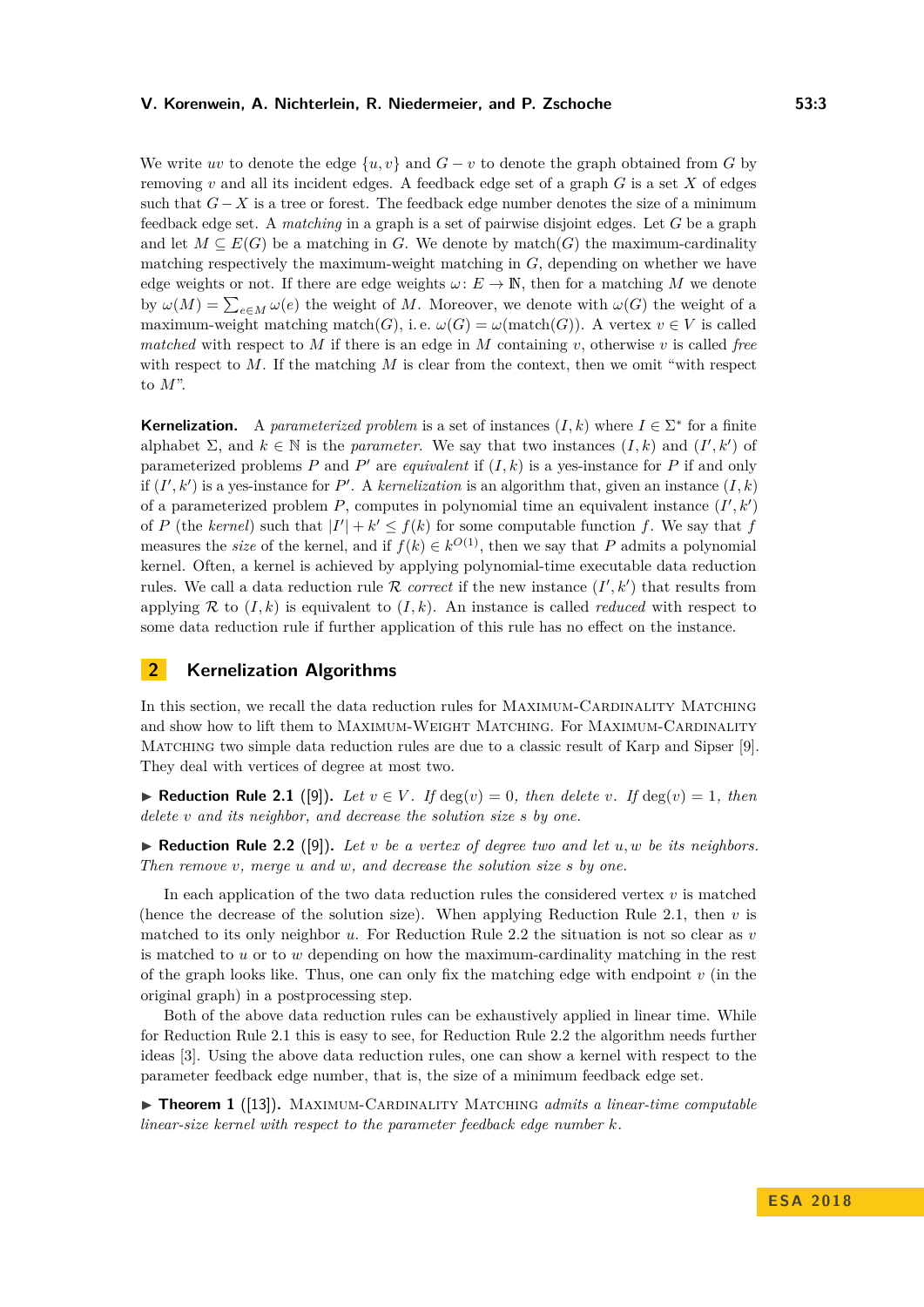#### **V. Korenwein, A. Nichterlein, R. Niedermeier, and P. Zschoche 53:3**

We write *uv* to denote the edge  $\{u, v\}$  and  $G - v$  to denote the graph obtained from *G* by removing *v* and all its incident edges. A feedback edge set of a graph *G* is a set *X* of edges such that *G*−*X* is a tree or forest. The feedback edge number denotes the size of a minimum feedback edge set. A *matching* in a graph is a set of pairwise disjoint edges. Let *G* be a graph and let  $M \subseteq E(G)$  be a matching in *G*. We denote by match(*G*) the maximum-cardinality matching respectively the maximum-weight matching in *G*, depending on whether we have edge weights or not. If there are edge weights  $\omega: E \to \mathbb{N}$ , then for a matching M we denote by  $\omega(M) = \sum_{e \in M} \omega(e)$  the weight of *M*. Moreover, we denote with  $\omega(G)$  the weight of a maximum-weight matching match(*G*), i.e.  $\omega(G) = \omega(\text{match}(G))$ . A vertex  $v \in V$  is called *matched* with respect to *M* if there is an edge in *M* containing *v*, otherwise *v* is called *free* with respect to M. If the matching M is clear from the context, then we omit "with respect" to *M*".

**Kernelization.** A *parameterized problem* is a set of instances  $(I, k)$  where  $I \in \Sigma^*$  for a finite alphabet  $\Sigma$ , and  $k \in \mathbb{N}$  is the *parameter*. We say that two instances  $(I, k)$  and  $(I', k')$  of parameterized problems  $P$  and  $P'$  are *equivalent* if  $(I, k)$  is a yes-instance for  $P$  if and only if  $(I', k')$  is a yes-instance for P'. A *kernelization* is an algorithm that, given an instance  $(I, k)$ of a parameterized problem  $P$ , computes in polynomial time an equivalent instance  $(I', k')$ of *P* (the *kernel*) such that  $|I'| + k' \le f(k)$  for some computable function *f*. We say that *f* measures the *size* of the kernel, and if  $f(k) \in k^{O(1)}$ , then we say that *P* admits a polynomial kernel. Often, a kernel is achieved by applying polynomial-time executable data reduction rules. We call a data reduction rule R *correct* if the new instance  $(I', k')$  that results from applying R to  $(I, k)$  is equivalent to  $(I, k)$ . An instance is called *reduced* with respect to some data reduction rule if further application of this rule has no effect on the instance.

# **2 Kernelization Algorithms**

In this section, we recall the data reduction rules for MAXIMUM-CARDINALITY MATCHING and show how to lift them to MAXIMUM-WEIGHT MATCHING. For MAXIMUM-CARDINALITY MATCHING two simple data reduction rules are due to a classic result of Karp and Sipser [\[9\]](#page-12-11). They deal with vertices of degree at most two.

<span id="page-2-0"></span>▶ **Reduction Rule 2.1** ([\[9\]](#page-12-11)). Let  $v \in V$ . If  $deg(v) = 0$ , then delete v. If  $deg(v) = 1$ , then *delete v and its neighbor, and decrease the solution size s by one.*

<span id="page-2-1"></span> $\blacktriangleright$  **Reduction Rule 2.2** ([\[9\]](#page-12-11)). Let *v* be a vertex of degree two and let  $u, w$  be its neighbors. *Then remove v, merge u and w, and decrease the solution size s by one.*

In each application of the two data reduction rules the considered vertex *v* is matched (hence the decrease of the solution size). When applying Reduction Rule [2.1,](#page-2-0) then *v* is matched to its only neighbor *u*. For Reduction Rule [2.2](#page-2-1) the situation is not so clear as *v* is matched to *u* or to *w* depending on how the maximum-cardinality matching in the rest of the graph looks like. Thus, one can only fix the matching edge with endpoint *v* (in the original graph) in a postprocessing step.

Both of the above data reduction rules can be exhaustively applied in linear time. While for Reduction Rule [2.1](#page-2-0) this is easy to see, for Reduction Rule [2.2](#page-2-1) the algorithm needs further ideas [\[3\]](#page-12-12). Using the above data reduction rules, one can show a kernel with respect to the parameter feedback edge number, that is, the size of a minimum feedback edge set.

<span id="page-2-2"></span>► **Theorem 1** ([\[13\]](#page-12-5)). MAXIMUM-CARDINALITY MATCHING *admits a linear-time computable linear-size kernel with respect to the parameter feedback edge number k.*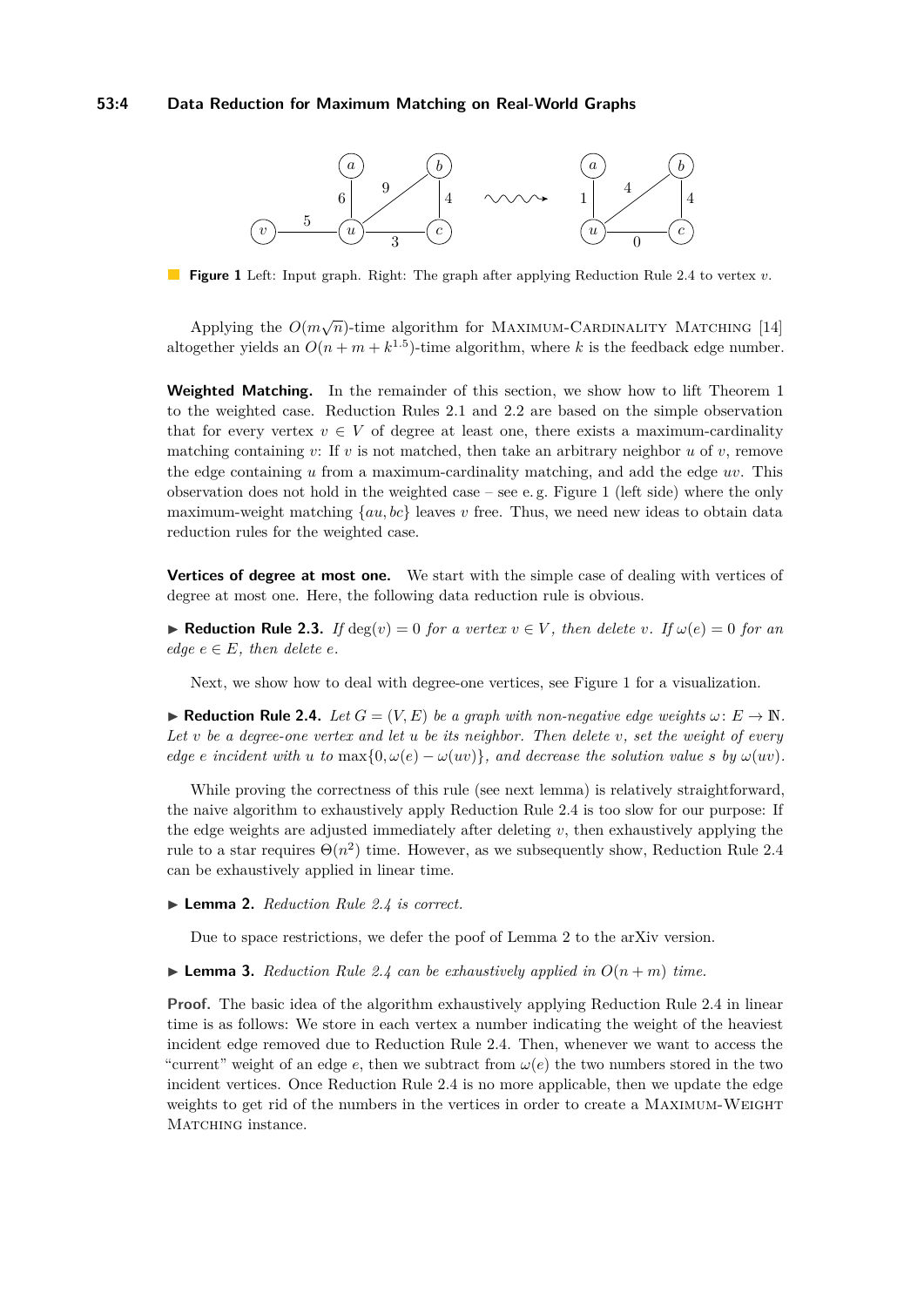#### **53:4 Data Reduction for Maximum Matching on Real-World Graphs**

<span id="page-3-1"></span>

**Figure 1** Left: Input graph. Right: The graph after applying Reduction Rule [2.4](#page-3-0) to vertex *v*.

Applying the  $O(m\sqrt{n})$ -time algorithm for MAXIMUM-CARDINALITY MATCHING [\[14\]](#page-12-13) altogether yields an  $O(n + m + k^{1.5})$ -time algorithm, where *k* is the feedback edge number.

**Weighted Matching.** In the remainder of this section, we show how to lift Theorem [1](#page-2-2) to the weighted case. Reduction Rules [2.1](#page-2-0) and [2.2](#page-2-1) are based on the simple observation that for every vertex  $v \in V$  of degree at least one, there exists a maximum-cardinality matching containing *v*: If *v* is not matched, then take an arbitrary neighbor *u* of *v*, remove the edge containing *u* from a maximum-cardinality matching, and add the edge *uv*. This observation does not hold in the weighted case – see e. g. Figure [1](#page-3-1) (left side) where the only maximum-weight matching {*au, bc*} leaves *v* free. Thus, we need new ideas to obtain data reduction rules for the weighted case.

**Vertices of degree at most one.** We start with the simple case of dealing with vertices of degree at most one. Here, the following data reduction rule is obvious.

<span id="page-3-3"></span>▶ **Reduction Rule 2.3.** *If*  $deg(v) = 0$  *for a vertex*  $v \in V$ *, then delete v. If*  $\omega(e) = 0$  *for an edge*  $e \in E$ *, then delete e.* 

Next, we show how to deal with degree-one vertices, see Figure [1](#page-3-1) for a visualization.

<span id="page-3-0"></span>**► Reduction Rule 2.4.** *Let*  $G = (V, E)$  *be a graph with non-negative edge weights*  $\omega: E \to \mathbb{N}$ *. Let v be a degree-one vertex and let u be its neighbor. Then delete v, set the weight of every edge e* incident with *u* to max{0*, ω*(*e*) –  $\omega(uv)$ }*, and decrease the solution value s by*  $\omega(uv)$ *.* 

While proving the correctness of this rule (see next lemma) is relatively straightforward, the naive algorithm to exhaustively apply Reduction Rule [2.4](#page-3-0) is too slow for our purpose: If the edge weights are adjusted immediately after deleting *v*, then exhaustively applying the rule to a star requires  $\Theta(n^2)$  time. However, as we subsequently show, Reduction Rule [2.4](#page-3-0) can be exhaustively applied in linear time.

<span id="page-3-2"></span>▶ **Lemma 2.** *Reduction Rule [2.4](#page-3-0) is correct.* 

Due to space restrictions, we defer the poof of Lemma [2](#page-3-2) to the arXiv version.

<span id="page-3-4"></span> $\blacktriangleright$  **Lemma 3.** *Reduction Rule [2.4](#page-3-0) can be exhaustively applied in*  $O(n+m)$  *time.* 

**Proof.** The basic idea of the algorithm exhaustively applying Reduction Rule [2.4](#page-3-0) in linear time is as follows: We store in each vertex a number indicating the weight of the heaviest incident edge removed due to Reduction Rule [2.4.](#page-3-0) Then, whenever we want to access the "current" weight of an edge  $e$ , then we subtract from  $\omega(e)$  the two numbers stored in the two incident vertices. Once Reduction Rule [2.4](#page-3-0) is no more applicable, then we update the edge weights to get rid of the numbers in the vertices in order to create a Maximum-Weight MATCHING instance.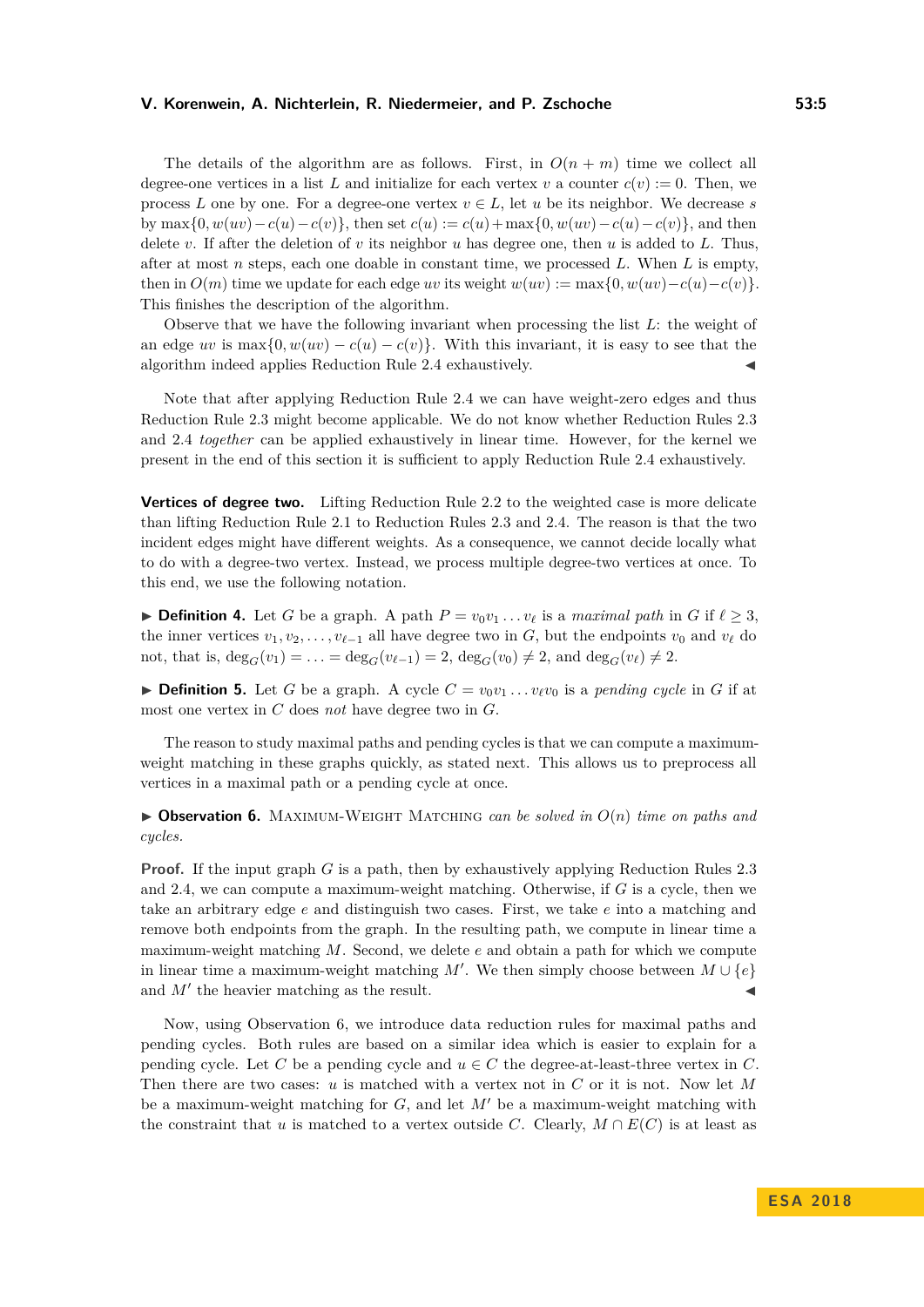#### **V. Korenwein, A. Nichterlein, R. Niedermeier, and P. Zschoche 53:5**

The details of the algorithm are as follows. First, in  $O(n + m)$  time we collect all degree-one vertices in a list L and initialize for each vertex  $v$  a counter  $c(v) := 0$ . Then, we process *L* one by one. For a degree-one vertex  $v \in L$ , let *u* be its neighbor. We decrease *s* by max $\{0, w(uv) - c(u) - c(v)\}\$ , then set  $c(u) := c(u) + \max\{0, w(uv) - c(u) - c(v)\}\$ , and then delete *v*. If after the deletion of *v* its neighbor *u* has degree one, then *u* is added to *L*. Thus, after at most *n* steps, each one doable in constant time, we processed *L*. When *L* is empty, then in  $O(m)$  time we update for each edge *uv* its weight  $w(uv) := \max\{0, w(uv) - c(u) - c(v)\}.$ This finishes the description of the algorithm.

Observe that we have the following invariant when processing the list *L*: the weight of an edge *uv* is max $\{0, w(uv) - c(u) - c(v)\}$ . With this invariant, it is easy to see that the algorithm indeed applies Reduction Rule [2.4](#page-3-0) exhaustively.

Note that after applying Reduction Rule [2.4](#page-3-0) we can have weight-zero edges and thus Reduction Rule [2.3](#page-3-3) might become applicable. We do not know whether Reduction Rules [2.3](#page-3-3) and [2.4](#page-3-0) *together* can be applied exhaustively in linear time. However, for the kernel we present in the end of this section it is sufficient to apply Reduction Rule [2.4](#page-3-0) exhaustively.

**Vertices of degree two.** Lifting Reduction Rule [2.2](#page-2-1) to the weighted case is more delicate than lifting Reduction Rule [2.1](#page-2-0) to Reduction Rules [2.3](#page-3-3) and [2.4.](#page-3-0) The reason is that the two incident edges might have different weights. As a consequence, we cannot decide locally what to do with a degree-two vertex. Instead, we process multiple degree-two vertices at once. To this end, we use the following notation.

**Definition 4.** Let *G* be a graph. A path  $P = v_0v_1 \dots v_\ell$  is a *maximal path* in *G* if  $\ell \geq 3$ , the inner vertices  $v_1, v_2, \ldots, v_{\ell-1}$  all have degree two in *G*, but the endpoints  $v_0$  and  $v_\ell$  do not, that is,  $deg_G(v_1) = \ldots = deg_G(v_{\ell-1}) = 2$ ,  $deg_G(v_0) \neq 2$ , and  $deg_G(v_{\ell}) \neq 2$ .

**Definition 5.** Let *G* be a graph. A cycle  $C = v_0v_1 \dots v_\ell v_0$  is a *pending cycle* in *G* if at most one vertex in *C* does *not* have degree two in *G*.

The reason to study maximal paths and pending cycles is that we can compute a maximumweight matching in these graphs quickly, as stated next. This allows us to preprocess all vertices in a maximal path or a pending cycle at once.

<span id="page-4-0"></span> $\triangleright$  **Observation 6.** MAXIMUM-WEIGHT MATCHING *can be solved in*  $O(n)$  *time on paths and cycles.*

**Proof.** If the input graph *G* is a path, then by exhaustively applying Reduction Rules [2.3](#page-3-3) and [2.4,](#page-3-0) we can compute a maximum-weight matching. Otherwise, if *G* is a cycle, then we take an arbitrary edge *e* and distinguish two cases. First, we take *e* into a matching and remove both endpoints from the graph. In the resulting path, we compute in linear time a maximum-weight matching *M*. Second, we delete *e* and obtain a path for which we compute in linear time a maximum-weight matching  $M'$ . We then simply choose between  $M \cup \{e\}$ and  $M'$  the heavier matching as the result.

Now, using Observation [6,](#page-4-0) we introduce data reduction rules for maximal paths and pending cycles. Both rules are based on a similar idea which is easier to explain for a pending cycle. Let *C* be a pending cycle and  $u \in C$  the degree-at-least-three vertex in *C*. Then there are two cases: *u* is matched with a vertex not in *C* or it is not. Now let *M* be a maximum-weight matching for  $G$ , and let  $M'$  be a maximum-weight matching with the constraint that *u* is matched to a vertex outside *C*. Clearly,  $M \cap E(C)$  is at least as

**E S A 2 0 1 8**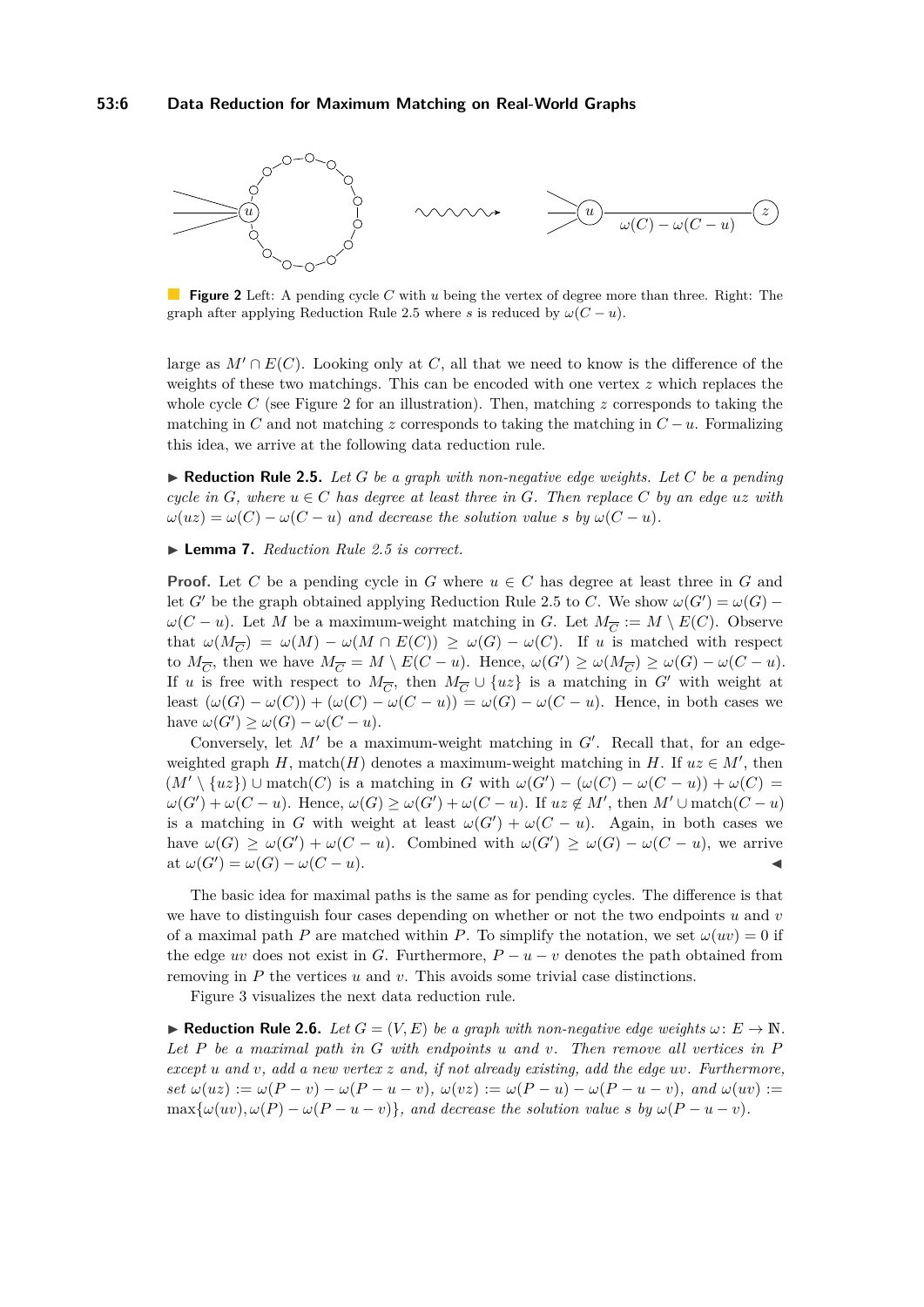<span id="page-5-1"></span>

**Figure 2** Left: A pending cycle *C* with *u* being the vertex of degree more than three. Right: The graph after applying Reduction Rule [2.5](#page-5-0) where *s* is reduced by  $\omega(C - u)$ .

large as  $M' \cap E(C)$ . Looking only at *C*, all that we need to know is the difference of the weights of these two matchings. This can be encoded with one vertex *z* which replaces the whole cycle *C* (see Figure [2](#page-5-1) for an illustration). Then, matching *z* corresponds to taking the matching in *C* and not matching *z* corresponds to taking the matching in  $C - u$ . Formalizing this idea, we arrive at the following data reduction rule.

<span id="page-5-0"></span> $\blacktriangleright$  **Reduction Rule 2.5.** Let G be a graph with non-negative edge weights. Let C be a pending *cycle in*  $G$ *, where*  $u \in C$  *has degree at least three in*  $G$ *. Then replace*  $C$  *by an edge*  $uz$  *with*  $\omega(uz) = \omega(C) - \omega(C - u)$  *and decrease the solution value s by*  $\omega(C - u)$ *.* 

#### ▶ **Lemma 7.** *Reduction Rule* [2.5](#page-5-0) *is correct.*

**Proof.** Let *C* be a pending cycle in *G* where  $u \in C$  has degree at least three in *G* and let *G*<sup> $\prime$ </sup> be the graph obtained applying Reduction Rule [2.5](#page-5-0) to *C*. We show  $\omega(G') = \omega(G)$ *ω*(*C* − *u*). Let *M* be a maximum-weight matching in *G*. Let  $M_{\overline{C}} := M \setminus E(C)$ . Observe that  $\omega(M_{\overline{C}}) = \omega(M) - \omega(M \cap E(C)) \geq \omega(G) - \omega(C)$ . If *u* is matched with respect to  $M_{\overline{C}}$ , then we have  $M_{\overline{C}} = M \setminus E(C - u)$ . Hence,  $\omega(G') \ge \omega(M_{\overline{C}}) \ge \omega(G) - \omega(C - u)$ . If *u* is free with respect to  $M_{\overline{C}}$ , then  $M_{\overline{C}} \cup \{uz\}$  is a matching in *G*<sup>*'*</sup> with weight at least  $(\omega(G) - \omega(C)) + (\omega(C) - \omega(C - u)) = \omega(G) - \omega(C - u)$ . Hence, in both cases we have  $\omega(G') \geq \omega(G) - \omega(C - u)$ .

Conversely, let  $M'$  be a maximum-weight matching in  $G'$ . Recall that, for an edgeweighted graph *H*, match(*H*) denotes a maximum-weight matching in *H*. If  $uz \in M'$ , then  $(M' \setminus \{uz\}) \cup$  match(*C*) is a matching in *G* with  $\omega(G') - (\omega(C) - \omega(C - u)) + \omega(C) =$  $\omega(G') + \omega(C - u)$ . Hence,  $\omega(G) \geq \omega(G') + \omega(C - u)$ . If  $uz \notin M'$ , then  $M' \cup \text{match}(C - u)$ is a matching in *G* with weight at least  $\omega(G') + \omega(C - u)$ . Again, in both cases we have  $\omega(G) \geq \omega(G') + \omega(C - u)$ . Combined with  $\omega(G') \geq \omega(G) - \omega(C - u)$ , we arrive  $\alpha$   $\alpha(G') = \omega(G) - \omega(C - u).$ 

The basic idea for maximal paths is the same as for pending cycles. The difference is that we have to distinguish four cases depending on whether or not the two endpoints *u* and *v* of a maximal path *P* are matched within *P*. To simplify the notation, we set  $\omega(uv) = 0$  if the edge *uv* does not exist in *G*. Furthermore,  $P - u - v$  denotes the path obtained from removing in *P* the vertices *u* and *v*. This avoids some trivial case distinctions.

Figure [3](#page-6-0) visualizes the next data reduction rule.

<span id="page-5-2"></span>**► Reduction Rule 2.6.** *Let*  $G = (V, E)$  *be a graph with non-negative edge weights*  $\omega: E \to \mathbb{N}$ *. Let P be a maximal path in G with endpoints u and v. Then remove all vertices in P except u and v, add a new vertex z and, if not already existing, add the edge uv. Furthermore,* set  $\omega(uz) := \omega(P - v) - \omega(P - u - v)$ ,  $\omega(vz) := \omega(P - u) - \omega(P - u - v)$ , and  $\omega(uv) :=$  $\max{\{\omega(uv), \omega(P) - \omega(P - u - v)\}}$ , and decrease the solution value *s* by  $\omega(P - u - v)$ .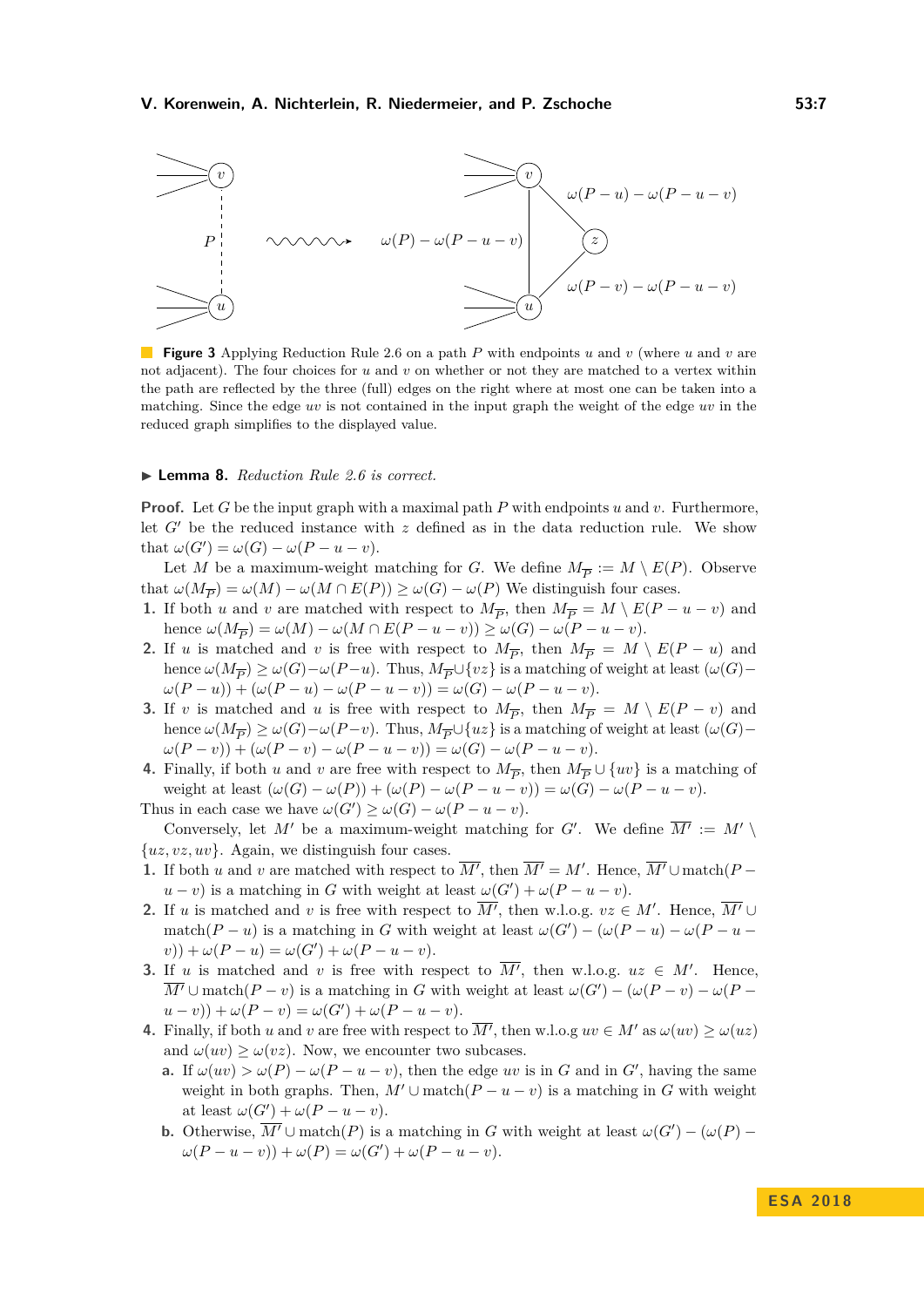<span id="page-6-0"></span>

**Figure 3** Applying Reduction Rule [2.6](#page-5-2) on a path *P* with endpoints *u* and *v* (where *u* and *v* are not adjacent). The four choices for *u* and *v* on whether or not they are matched to a vertex within the path are reflected by the three (full) edges on the right where at most one can be taken into a matching. Since the edge *uv* is not contained in the input graph the weight of the edge *uv* in the reduced graph simplifies to the displayed value.

#### ▶ **Lemma 8.** *Reduction Rule* [2.6](#page-5-2) *is correct.*

**Proof.** Let *G* be the input graph with a maximal path *P* with endpoints *u* and *v*. Furthermore, let  $G'$  be the reduced instance with  $z$  defined as in the data reduction rule. We show that  $\omega(G') = \omega(G) - \omega(P - u - v)$ .

Let *M* be a maximum-weight matching for *G*. We define  $M_{\overline{P}} := M \setminus E(P)$ . Observe that  $\omega(M_{\overline{P}}) = \omega(M) - \omega(M \cap E(P)) \ge \omega(G) - \omega(P)$  We distinguish four cases.

- **1.** If both *u* and *v* are matched with respect to  $M_{\overline{P}}$ , then  $M_{\overline{P}} = M \setminus E(P u v)$  and hence  $\omega(M_{\overline{P}}) = \omega(M) - \omega(M \cap E(P - u - v)) \ge \omega(G) - \omega(P - u - v).$
- **2.** If *u* is matched and *v* is free with respect to  $M_{\overline{P}}$ , then  $M_{\overline{P}} = M \setminus E(P u)$  and hence  $\omega(M_{\overline{P}}) \ge \omega(G) - \omega(P - u)$ . Thus,  $M_{\overline{P}} \cup \{vz\}$  is a matching of weight at least  $(\omega(G) \omega(P - u) + (\omega(P - u) - \omega(P - u - v)) = \omega(G) - \omega(P - u - v).$
- **3.** If *v* is matched and *u* is free with respect to  $M_{\overline{P}}$ , then  $M_{\overline{P}} = M \setminus E(P v)$  and hence  $\omega(M_{\overline{P}}) \ge \omega(G) - \omega(P - v)$ . Thus,  $M_{\overline{P}} \cup \{uz\}$  is a matching of weight at least  $(\omega(G) \omega(P - v) + (\omega(P - v) - \omega(P - u - v)) = \omega(G) - \omega(P - u - v).$
- **4.** Finally, if both *u* and *v* are free with respect to  $M_{\overline{P}}$ , then  $M_{\overline{P}} \cup \{uv\}$  is a matching of weight at least  $(\omega(G) - \omega(P)) + (\omega(P) - \omega(P - u - v)) = \omega(G) - \omega(P - u - v).$

Thus in each case we have  $\omega(G') \geq \omega(G) - \omega(P - u - v)$ . Conversely, let M' be a maximum-weight matching for G'. We define  $\overline{M'} := M' \setminus$ 

{*uz, vz, uv*}. Again, we distinguish four cases.

- **1.** If both *u* and *v* are matched with respect to  $\overline{M'}$ , then  $\overline{M'} = M'$ . Hence,  $\overline{M'} \cup \text{match}(P$  $u - v$ ) is a matching in *G* with weight at least  $\omega(G') + \omega(P - u - v)$ .
- **2.** If *u* is matched and *v* is free with respect to  $\overline{M'}$ , then w.l.o.g.  $vz \in M'$ . Hence,  $\overline{M'}$ match( $P - u$ ) is a matching in *G* with weight at least  $\omega(G') - (\omega(P - u) - \omega(P - u) - \omega(P - u))$  $v)$ ) +  $\omega(P - u) = \omega(G') + \omega(P - u - v)$ .
- **3.** If *u* is matched and *v* is free with respect to  $\overline{M'}$ , then w.l.o.g.  $uz \in M'$ . Hence,  $\overline{M'}$  ∪ match(*P* − *v*) is a matching in *G* with weight at least  $\omega(G') - (\omega(P - v) - \omega(P - v))$  $(u - v)$ ) +  $\omega(P - v) = \omega(G') + \omega(P - u - v)$ .
- **4.** Finally, if both *u* and *v* are free with respect to  $\overline{M'}$ , then w.l.o.g  $uv \in M'$  as  $\omega(uv) \geq \omega(uz)$ and  $\omega(uv) > \omega(vz)$ . Now, we encounter two subcases.
	- **a.** If  $\omega(uv) > \omega(P) \omega(P u v)$ , then the edge *uv* is in *G* and in *G'*, having the same weight in both graphs. Then,  $M' \cup$  match $(P - u - v)$  is a matching in *G* with weight at least  $\omega(G') + \omega(P - u - v)$ .
	- **b.** Otherwise,  $\overline{M'} \cup$  match(*P*) is a matching in *G* with weight at least  $\omega(G') (\omega(P) \omega(P - u - v) + \omega(P) = \omega(G') + \omega(P - u - v).$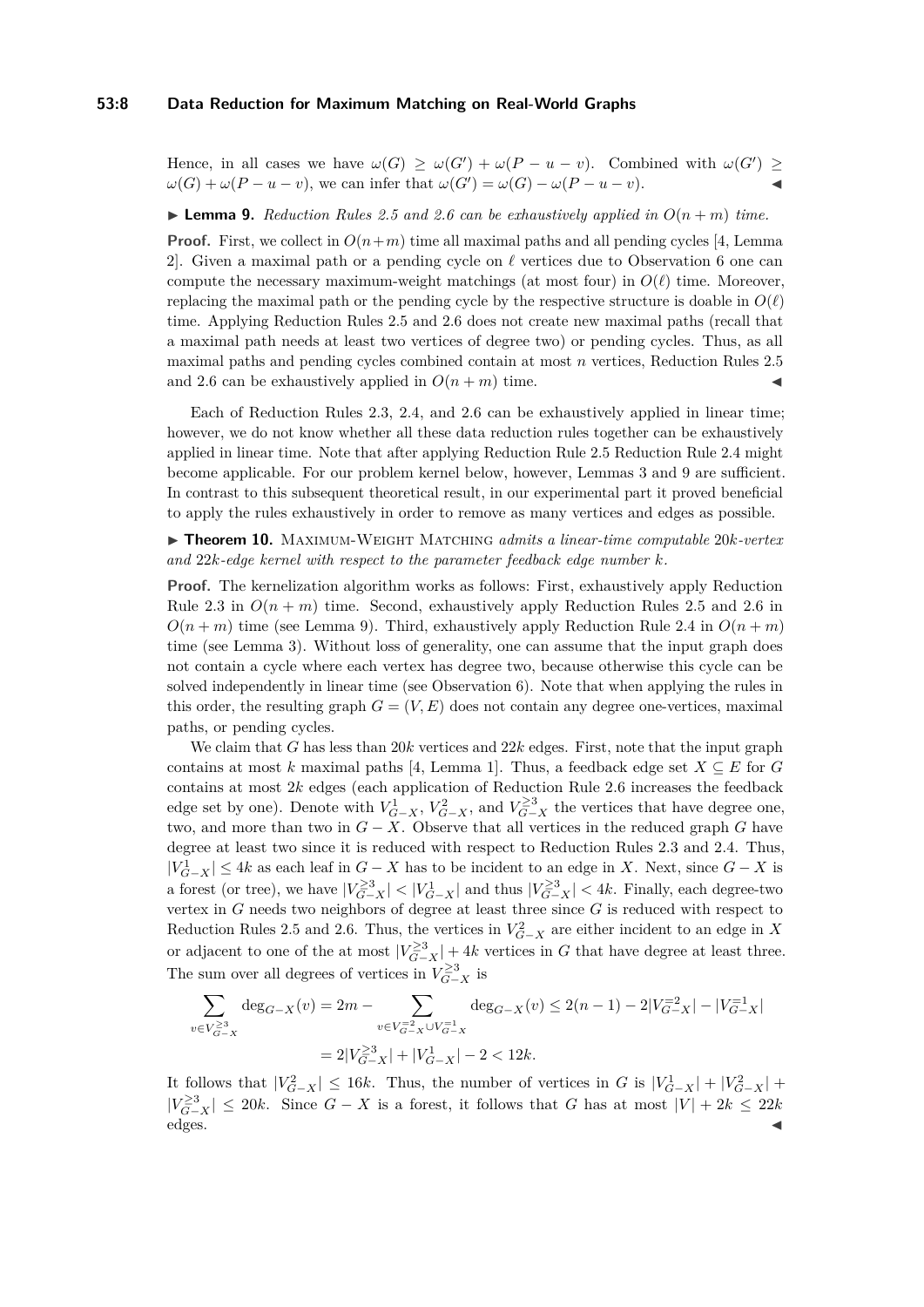#### **53:8 Data Reduction for Maximum Matching on Real-World Graphs**

Hence, in all cases we have  $\omega(G) \geq \omega(G') + \omega(P - u - v)$ . Combined with  $\omega(G') \geq$  $\omega(G) + \omega(P - u - v)$ , we can infer that  $\omega(G') = \omega(G) - \omega(P - u - v)$ .

<span id="page-7-0"></span> $\blacktriangleright$  **Lemma 9.** Reduction Rules [2.5](#page-5-0) and [2.6](#page-5-2) can be exhaustively applied in  $O(n+m)$  time.

**Proof.** First, we collect in  $O(n+m)$  time all maximal paths and all pending cycles [\[4,](#page-12-14) Lemma 2]. Given a maximal path or a pending cycle on  $\ell$  vertices due to Observation [6](#page-4-0) one can compute the necessary maximum-weight matchings (at most four) in  $O(\ell)$  time. Moreover, replacing the maximal path or the pending cycle by the respective structure is doable in  $O(\ell)$ time. Applying Reduction Rules [2.5](#page-5-0) and [2.6](#page-5-2) does not create new maximal paths (recall that a maximal path needs at least two vertices of degree two) or pending cycles. Thus, as all maximal paths and pending cycles combined contain at most *n* vertices, Reduction Rules [2.5](#page-5-0) and [2.6](#page-5-2) can be exhaustively applied in  $O(n + m)$  time.

Each of Reduction Rules [2.3,](#page-3-3) [2.4,](#page-3-0) and [2.6](#page-5-2) can be exhaustively applied in linear time; however, we do not know whether all these data reduction rules together can be exhaustively applied in linear time. Note that after applying Reduction Rule [2.5](#page-5-0) Reduction Rule [2.4](#page-3-0) might become applicable. For our problem kernel below, however, Lemmas [3](#page-3-4) and [9](#page-7-0) are sufficient. In contrast to this subsequent theoretical result, in our experimental part it proved beneficial to apply the rules exhaustively in order to remove as many vertices and edges as possible.

<span id="page-7-1"></span>I **Theorem 10.** Maximum-Weight Matching *admits a linear-time computable* 20*k-vertex and* 22*k-edge kernel with respect to the parameter feedback edge number k.*

**Proof.** The kernelization algorithm works as follows: First, exhaustively apply Reduction Rule [2.3](#page-3-3) in  $O(n+m)$  time. Second, exhaustively apply Reduction Rules [2.5](#page-5-0) and [2.6](#page-5-2) in  $O(n+m)$  time (see Lemma [9\)](#page-7-0). Third, exhaustively apply Reduction Rule [2.4](#page-3-0) in  $O(n+m)$ time (see Lemma [3\)](#page-3-4). Without loss of generality, one can assume that the input graph does not contain a cycle where each vertex has degree two, because otherwise this cycle can be solved independently in linear time (see Observation [6\)](#page-4-0). Note that when applying the rules in this order, the resulting graph  $G = (V, E)$  does not contain any degree one-vertices, maximal paths, or pending cycles.

We claim that *G* has less than 20*k* vertices and 22*k* edges. First, note that the input graph contains at most *k* maximal paths [\[4,](#page-12-14) Lemma 1]. Thus, a feedback edge set  $X \subseteq E$  for *G* contains at most 2*k* edges (each application of Reduction Rule [2.6](#page-5-2) increases the feedback edge set by one). Denote with  $V_{G-X}^1$ ,  $V_{G-X}^2$ , and  $V_{G-X}^{\geq 3}$  the vertices that have degree one, two, and more than two in  $G - X$ . Observe that all vertices in the reduced graph *G* have degree at least two since it is reduced with respect to Reduction Rules [2.3](#page-3-3) and [2.4.](#page-3-0) Thus,  $|V_{G-X}^1|$  ≤ 4*k* as each leaf in  $G-X$  has to be incident to an edge in *X*. Next, since  $G-X$  is a forest (or tree), we have  $|V_{G-X}^{\geq 3}| < |V_{G-X}^1|$  and thus  $|V_{G-X}^{\geq 3}| < 4k$ . Finally, each degree-two vertex in *G* needs two neighbors of degree at least three since *G* is reduced with respect to Reduction Rules [2.5](#page-5-0) and [2.6.](#page-5-2) Thus, the vertices in  $V_{G-X}^2$  are either incident to an edge in *X* or adjacent to one of the at most  $|V_{G-X}^{\geq 3}| + 4k$  vertices in G that have degree at least three. The sum over all degrees of vertices in  $V_{G-X}^{\geq 3}$  is

$$
\sum_{v \in V_{G-X}^{\geq 3}} \deg_{G-X}(v) = 2m - \sum_{v \in V_{G-X}^{-2} \cup V_{G-X}^{-1}} \deg_{G-X}(v) \leq 2(n-1) - 2|V_{G-X}^{-2}| - |V_{G-X}^{-1}|
$$

$$
= 2|V_{G-X}^{\geq 3}| + |V_{G-X}^1| - 2 < 12k.
$$

It follows that  $|V_{G-X}^2| \le 16k$ . Thus, the number of vertices in *G* is  $|V_{G-X}^1| + |V_{G-X}^2|$  +  $|V_{G-X}^{\geq 3}|$  ≤ 20*k*. Since  $G - X$  is a forest, it follows that *G* has at most  $|V| + 2k \leq 22k$ edges.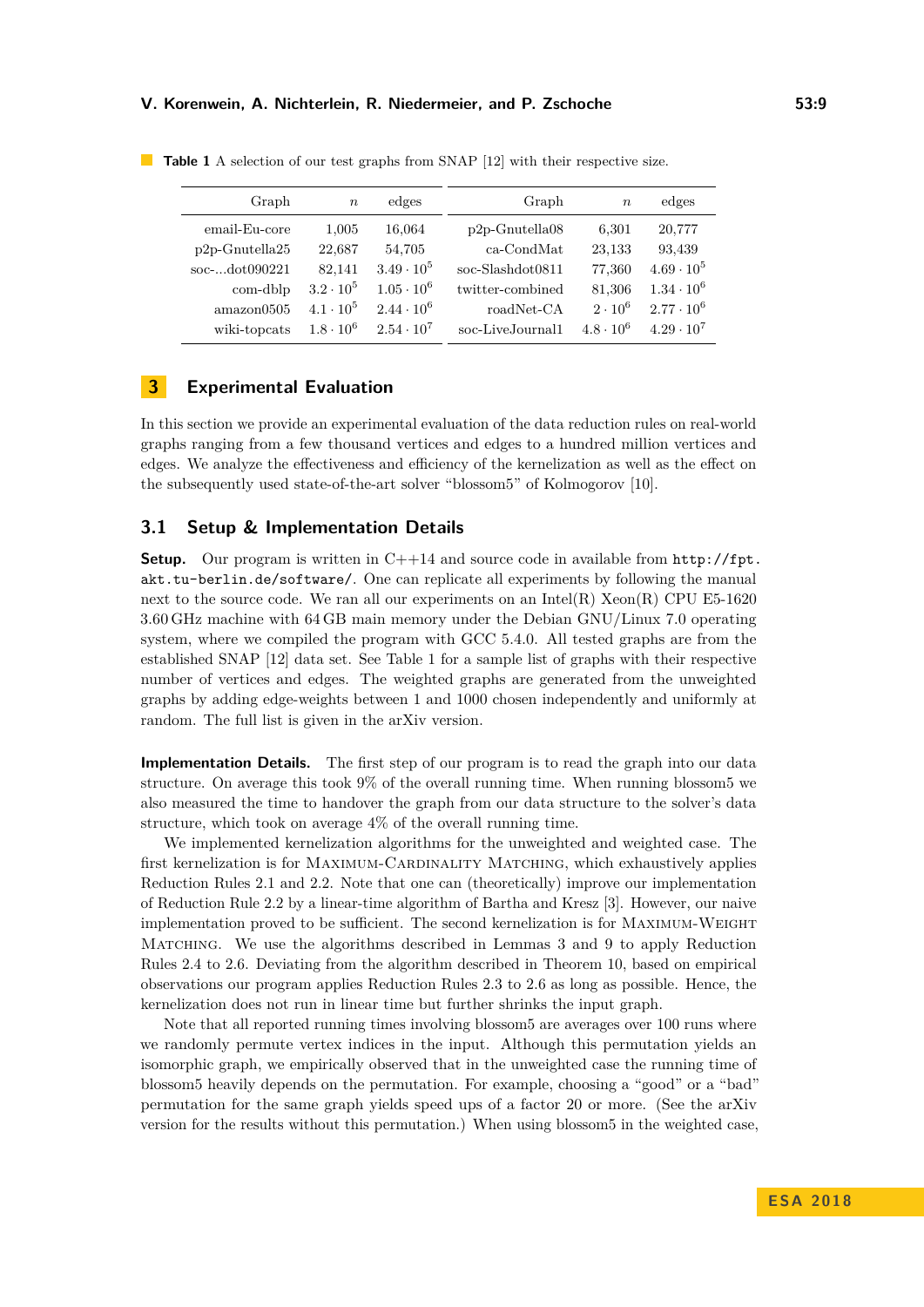#### **V. Korenwein, A. Nichterlein, R. Niedermeier, and P. Zschoche 53:9**

| Graph                | $\boldsymbol{n}$ | edges             | Graph                | $\boldsymbol{n}$ | edges             |
|----------------------|------------------|-------------------|----------------------|------------------|-------------------|
| email-Eu-core        | 1,005            | 16,064            | $p2p$ -Gnutella $08$ | 6,301            | 20,777            |
| $p2p$ -Gnutella $25$ | 22.687           | 54,705            | $ca$ -CondMat        | 23,133           | 93,439            |
| soc-dot090221        | 82,141           | $3.49 \cdot 10^5$ | soc-Slashdot0811     | 77,360           | $4.69 \cdot 10^5$ |
| com-dblp             | $3.2 \cdot 10^5$ | $1.05 \cdot 10^6$ | twitter-combined     | 81,306           | $1.34 \cdot 10^6$ |
| amazon0505           | $4.1 \cdot 10^5$ | $2.44 \cdot 10^6$ | roadNet-CA           | $2 \cdot 10^6$   | $2.77 \cdot 10^6$ |
| wiki-topcats         | $1.8 \cdot 10^6$ | $2.54 \cdot 10^7$ | soc-LiveJournal1     | $4.8 \cdot 10^6$ | $4.29 \cdot 10^7$ |

<span id="page-8-0"></span>**Table 1** A selection of our test graphs from SNAP [\[12\]](#page-12-10) with their respective size.

# **3 Experimental Evaluation**

In this section we provide an experimental evaluation of the data reduction rules on real-world graphs ranging from a few thousand vertices and edges to a hundred million vertices and edges. We analyze the effectiveness and efficiency of the kernelization as well as the effect on the subsequently used state-of-the-art solver "blossom5" of Kolmogorov [\[10\]](#page-12-6).

## **3.1 Setup & Implementation Details**

**Setup.** Our program is written in  $C++14$  and source code in available from  $\frac{http://fpt.}{$  $\frac{http://fpt.}{$  $\frac{http://fpt.}{$ [akt.tu-berlin.de/software/](http://fpt.akt.tu-berlin.de/software/). One can replicate all experiments by following the manual next to the source code. We ran all our experiments on an Intel(R)  $Xeon(R)$  CPU E5-1620 3.60 GHz machine with 64 GB main memory under the Debian GNU/Linux 7.0 operating system, where we compiled the program with GCC 5.4.0. All tested graphs are from the established SNAP [\[12\]](#page-12-10) data set. See Table [1](#page-8-0) for a sample list of graphs with their respective number of vertices and edges. The weighted graphs are generated from the unweighted graphs by adding edge-weights between 1 and 1000 chosen independently and uniformly at random. The full list is given in the arXiv version.

**Implementation Details.** The first step of our program is to read the graph into our data structure. On average this took 9% of the overall running time. When running blossom5 we also measured the time to handover the graph from our data structure to the solver's data structure, which took on average 4% of the overall running time.

We implemented kernelization algorithms for the unweighted and weighted case. The first kernelization is for MAXIMUM-CARDINALITY MATCHING, which exhaustively applies Reduction Rules [2.1](#page-2-0) and [2.2.](#page-2-1) Note that one can (theoretically) improve our implementation of Reduction Rule [2.2](#page-2-1) by a linear-time algorithm of Bartha and Kresz [\[3\]](#page-12-12). However, our naive implementation proved to be sufficient. The second kernelization is for Maximum-Weight Matching. We use the algorithms described in Lemmas [3](#page-3-4) and [9](#page-7-0) to apply Reduction Rules [2.4](#page-3-0) to [2.6.](#page-5-2) Deviating from the algorithm described in Theorem [10,](#page-7-1) based on empirical observations our program applies Reduction Rules [2.3](#page-3-3) to [2.6](#page-5-2) as long as possible. Hence, the kernelization does not run in linear time but further shrinks the input graph.

Note that all reported running times involving blossom5 are averages over 100 runs where we randomly permute vertex indices in the input. Although this permutation yields an isomorphic graph, we empirically observed that in the unweighted case the running time of blossom5 heavily depends on the permutation. For example, choosing a "good" or a "bad" permutation for the same graph yields speed ups of a factor 20 or more. (See the arXiv version for the results without this permutation.) When using blossom5 in the weighted case,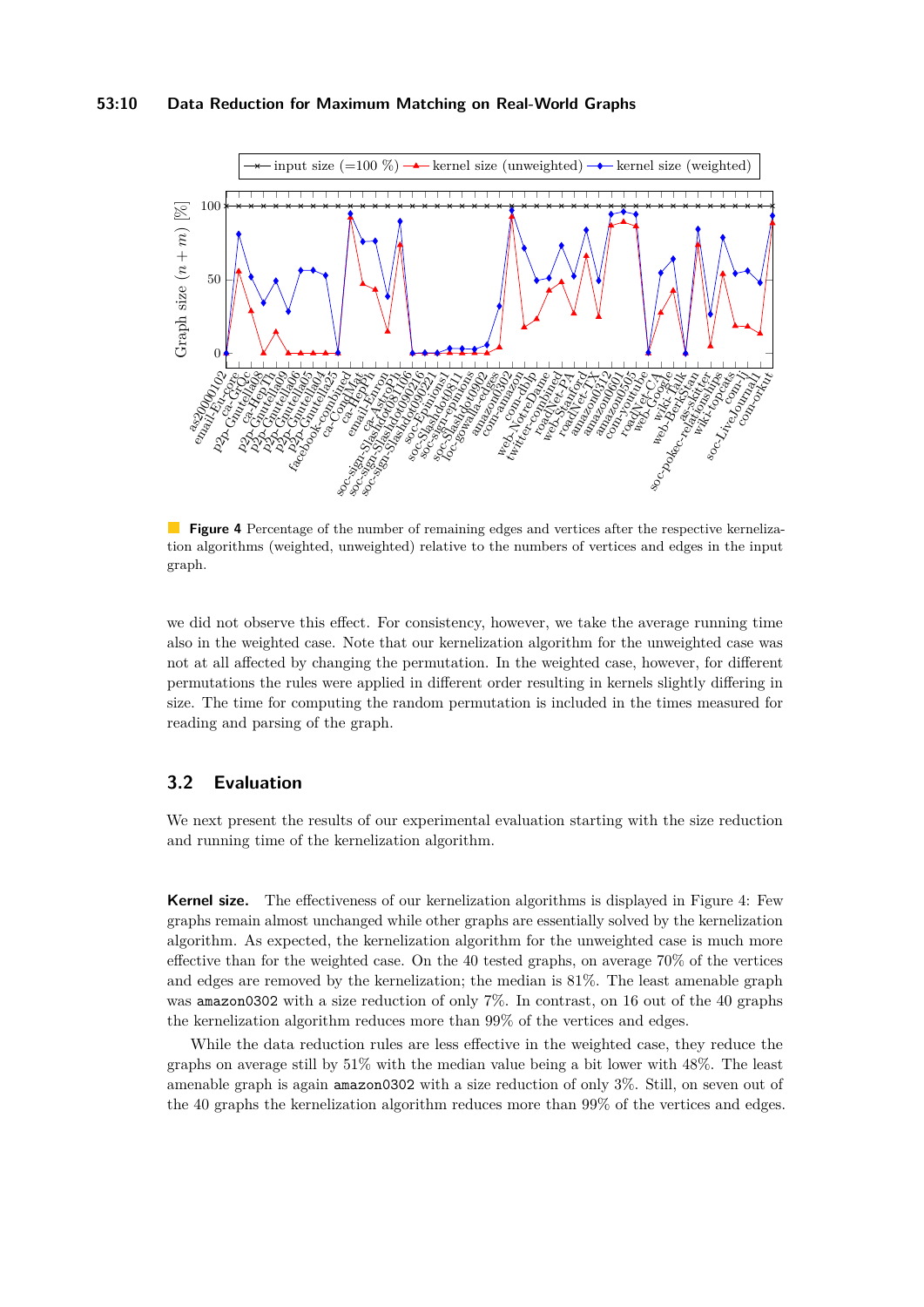#### **53:10 Data Reduction for Maximum Matching on Real-World Graphs**

<span id="page-9-0"></span>

**Figure 4** Percentage of the number of remaining edges and vertices after the respective kernelization algorithms (weighted, unweighted) relative to the numbers of vertices and edges in the input graph.

we did not observe this effect. For consistency, however, we take the average running time also in the weighted case. Note that our kernelization algorithm for the unweighted case was not at all affected by changing the permutation. In the weighted case, however, for different permutations the rules were applied in different order resulting in kernels slightly differing in size. The time for computing the random permutation is included in the times measured for reading and parsing of the graph.

## **3.2 Evaluation**

We next present the results of our experimental evaluation starting with the size reduction and running time of the kernelization algorithm.

**Kernel size.** The effectiveness of our kernelization algorithms is displayed in Figure [4:](#page-9-0) Few graphs remain almost unchanged while other graphs are essentially solved by the kernelization algorithm. As expected, the kernelization algorithm for the unweighted case is much more effective than for the weighted case. On the 40 tested graphs, on average 70% of the vertices and edges are removed by the kernelization; the median is 81%. The least amenable graph was amazon0302 with a size reduction of only  $7\%$ . In contrast, on 16 out of the 40 graphs the kernelization algorithm reduces more than 99% of the vertices and edges.

While the data reduction rules are less effective in the weighted case, they reduce the graphs on average still by 51% with the median value being a bit lower with 48%. The least amenable graph is again amazon0302 with a size reduction of only 3%. Still, on seven out of the 40 graphs the kernelization algorithm reduces more than 99% of the vertices and edges.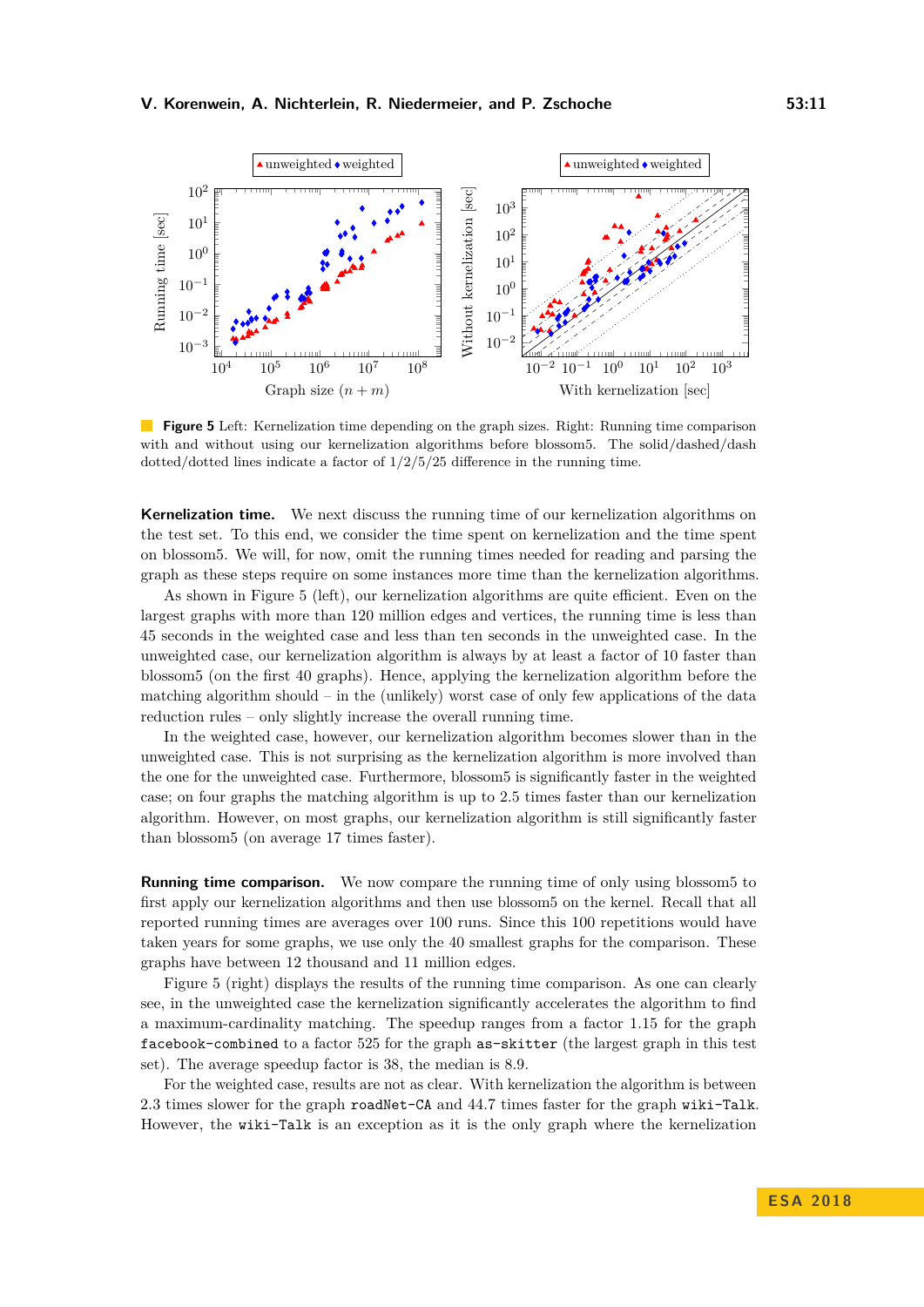<span id="page-10-0"></span>

**Figure 5** Left: Kernelization time depending on the graph sizes. Right: Running time comparison with and without using our kernelization algorithms before blossom5. The solid/dashed/dash dotted/dotted lines indicate a factor of  $1/2/5/25$  difference in the running time.

**Kernelization time.** We next discuss the running time of our kernelization algorithms on the test set. To this end, we consider the time spent on kernelization and the time spent on blossom5. We will, for now, omit the running times needed for reading and parsing the graph as these steps require on some instances more time than the kernelization algorithms.

As shown in Figure [5](#page-10-0) (left), our kernelization algorithms are quite efficient. Even on the largest graphs with more than 120 million edges and vertices, the running time is less than 45 seconds in the weighted case and less than ten seconds in the unweighted case. In the unweighted case, our kernelization algorithm is always by at least a factor of 10 faster than blossom5 (on the first 40 graphs). Hence, applying the kernelization algorithm before the matching algorithm should – in the (unlikely) worst case of only few applications of the data reduction rules – only slightly increase the overall running time.

In the weighted case, however, our kernelization algorithm becomes slower than in the unweighted case. This is not surprising as the kernelization algorithm is more involved than the one for the unweighted case. Furthermore, blossom5 is significantly faster in the weighted case; on four graphs the matching algorithm is up to 2.5 times faster than our kernelization algorithm. However, on most graphs, our kernelization algorithm is still significantly faster than blossom5 (on average 17 times faster).

**Running time comparison.** We now compare the running time of only using blossom5 to first apply our kernelization algorithms and then use blossom5 on the kernel. Recall that all reported running times are averages over 100 runs. Since this 100 repetitions would have taken years for some graphs, we use only the 40 smallest graphs for the comparison. These graphs have between 12 thousand and 11 million edges.

Figure [5](#page-10-0) (right) displays the results of the running time comparison. As one can clearly see, in the unweighted case the kernelization significantly accelerates the algorithm to find a maximum-cardinality matching. The speedup ranges from a factor 1.15 for the graph facebook-combined to a factor 525 for the graph as-skitter (the largest graph in this test set). The average speedup factor is 38, the median is 8.9.

For the weighted case, results are not as clear. With kernelization the algorithm is between 2.3 times slower for the graph roadNet-CA and 44.7 times faster for the graph wiki-Talk. However, the wiki-Talk is an exception as it is the only graph where the kernelization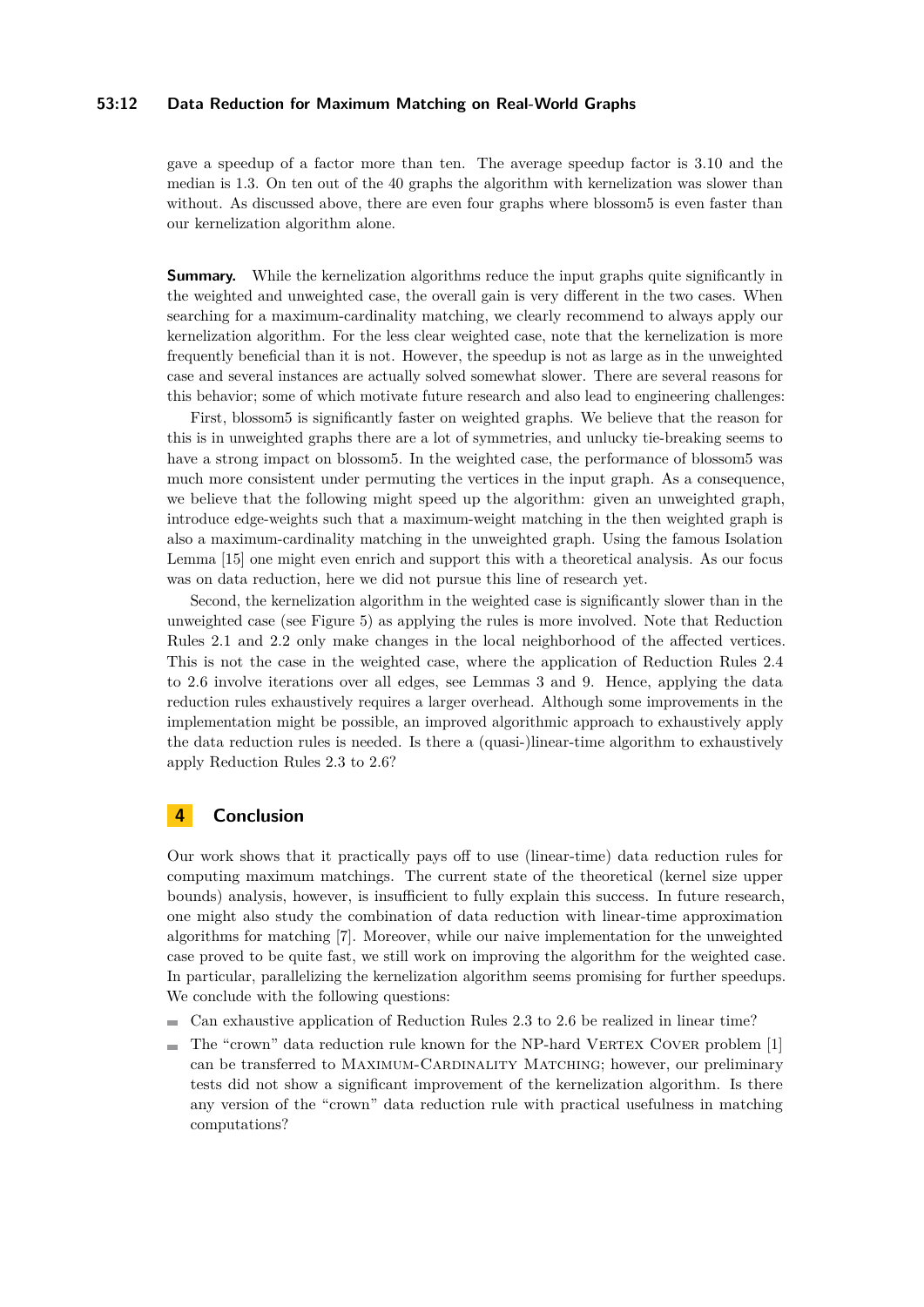#### **53:12 Data Reduction for Maximum Matching on Real-World Graphs**

gave a speedup of a factor more than ten. The average speedup factor is 3.10 and the median is 1.3. On ten out of the 40 graphs the algorithm with kernelization was slower than without. As discussed above, there are even four graphs where blossom5 is even faster than our kernelization algorithm alone.

**Summary.** While the kernelization algorithms reduce the input graphs quite significantly in the weighted and unweighted case, the overall gain is very different in the two cases. When searching for a maximum-cardinality matching, we clearly recommend to always apply our kernelization algorithm. For the less clear weighted case, note that the kernelization is more frequently beneficial than it is not. However, the speedup is not as large as in the unweighted case and several instances are actually solved somewhat slower. There are several reasons for this behavior; some of which motivate future research and also lead to engineering challenges:

First, blossom5 is significantly faster on weighted graphs. We believe that the reason for this is in unweighted graphs there are a lot of symmetries, and unlucky tie-breaking seems to have a strong impact on blossom5. In the weighted case, the performance of blossom5 was much more consistent under permuting the vertices in the input graph. As a consequence, we believe that the following might speed up the algorithm: given an unweighted graph, introduce edge-weights such that a maximum-weight matching in the then weighted graph is also a maximum-cardinality matching in the unweighted graph. Using the famous Isolation Lemma [\[15\]](#page-12-15) one might even enrich and support this with a theoretical analysis. As our focus was on data reduction, here we did not pursue this line of research yet.

Second, the kernelization algorithm in the weighted case is significantly slower than in the unweighted case (see Figure [5\)](#page-10-0) as applying the rules is more involved. Note that Reduction Rules [2.1](#page-2-0) and [2.2](#page-2-1) only make changes in the local neighborhood of the affected vertices. This is not the case in the weighted case, where the application of Reduction Rules [2.4](#page-3-0) to [2.6](#page-5-2) involve iterations over all edges, see Lemmas [3](#page-3-4) and [9.](#page-7-0) Hence, applying the data reduction rules exhaustively requires a larger overhead. Although some improvements in the implementation might be possible, an improved algorithmic approach to exhaustively apply the data reduction rules is needed. Is there a (quasi-)linear-time algorithm to exhaustively apply Reduction Rules [2.3](#page-3-3) to [2.6?](#page-5-2)

## **4 Conclusion**

Our work shows that it practically pays off to use (linear-time) data reduction rules for computing maximum matchings. The current state of the theoretical (kernel size upper bounds) analysis, however, is insufficient to fully explain this success. In future research, one might also study the combination of data reduction with linear-time approximation algorithms for matching [\[7\]](#page-12-4). Moreover, while our naive implementation for the unweighted case proved to be quite fast, we still work on improving the algorithm for the weighted case. In particular, parallelizing the kernelization algorithm seems promising for further speedups. We conclude with the following questions:

- $\blacksquare$  Can exhaustive application of Reduction Rules [2.3](#page-3-3) to [2.6](#page-5-2) be realized in linear time?
- The "crown" data reduction rule known for the NP-hard VERTEX COVER problem [\[1\]](#page-12-16)  $\equiv$ can be transferred to MAXIMUM-CARDINALITY MATCHING; however, our preliminary tests did not show a significant improvement of the kernelization algorithm. Is there any version of the "crown" data reduction rule with practical usefulness in matching computations?